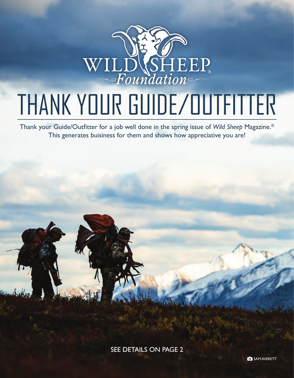

## THANK YOUR GUIDE/OUTFITTER

Thank your Guide/Outfitter for a job well done in the spring issue of *Wild Sheep* Magazine.® This generates buisiness for them and shows how appreciative you are!

SEE DETAILS ON PAGE 2